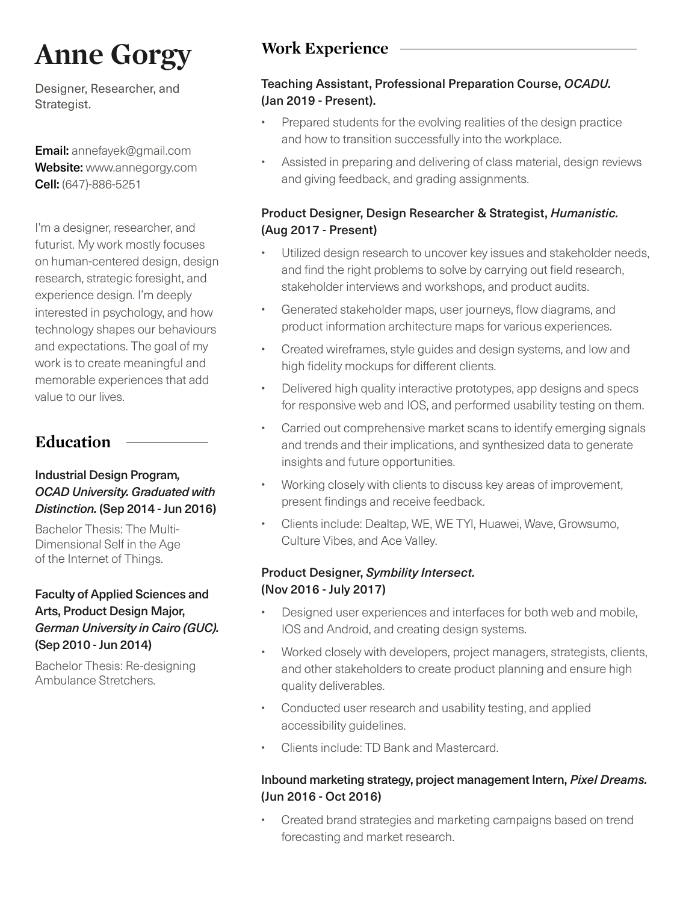# **Anne Gorgy** Work Experience

Designer, Researcher, and Strategist.

Email: annefayek@gmail.com Website: www.annegorgy.com Cell: (647)-886-5251

I'm a designer, researcher, and futurist. My work mostly focuses on human-centered design, design research, strategic foresight, and experience design. I'm deeply interested in psychology, and how technology shapes our behaviours and expectations. The goal of my work is to create meaningful and memorable experiences that add value to our lives.

## **Education**

#### Industrial Design Program*, OCAD University. Graduated with Distinction.* (Sep 2014 - Jun 2016)

Bachelor Thesis: The Multi-Dimensional Self in the Age of the Internet of Things.

#### Faculty of Applied Sciences and Arts, Product Design Major, *German University in Cairo (GUC).*  (Sep 2010 - Jun 2014)

Bachelor Thesis: Re-designing Ambulance Stretchers.

## Teaching Assistant, Professional Preparation Course, *OCADU.* (Jan 2019 - Present).

- Prepared students for the evolving realities of the design practice and how to transition successfully into the workplace.
- Assisted in preparing and delivering of class material, design reviews and giving feedback, and grading assignments.

## Product Designer, Design Researcher & Strategist, *Humanistic.* (Aug 2017 - Present)

- Utilized design research to uncover key issues and stakeholder needs, and find the right problems to solve by carrying out field research, stakeholder interviews and workshops, and product audits.
- • Generated stakeholder maps, user journeys, flow diagrams, and product information architecture maps for various experiences.
- Created wireframes, style guides and design systems, and low and high fidelity mockups for different clients.
- Delivered high quality interactive prototypes, app designs and specs for responsive web and IOS, and performed usability testing on them.
- Carried out comprehensive market scans to identify emerging signals and trends and their implications, and synthesized data to generate insights and future opportunities.
- Working closely with clients to discuss key areas of improvement, present findings and receive feedback.
- Clients include: Dealtap, WE, WE TYI, Huawei, Wave, Growsumo, Culture Vibes, and Ace Valley.

## Product Designer, *Symbility Intersect.* (Nov 2016 - July 2017)

- Designed user experiences and interfaces for both web and mobile, IOS and Android, and creating design systems.
- Worked closely with developers, project managers, strategists, clients, and other stakeholders to create product planning and ensure high quality deliverables.
- Conducted user research and usability testing, and applied accessibility guidelines.
- Clients include: TD Bank and Mastercard.

## Inbound marketing strategy, project management Intern, *Pixel Dreams.* (Jun 2016 - Oct 2016)

Created brand strategies and marketing campaigns based on trend forecasting and market research.